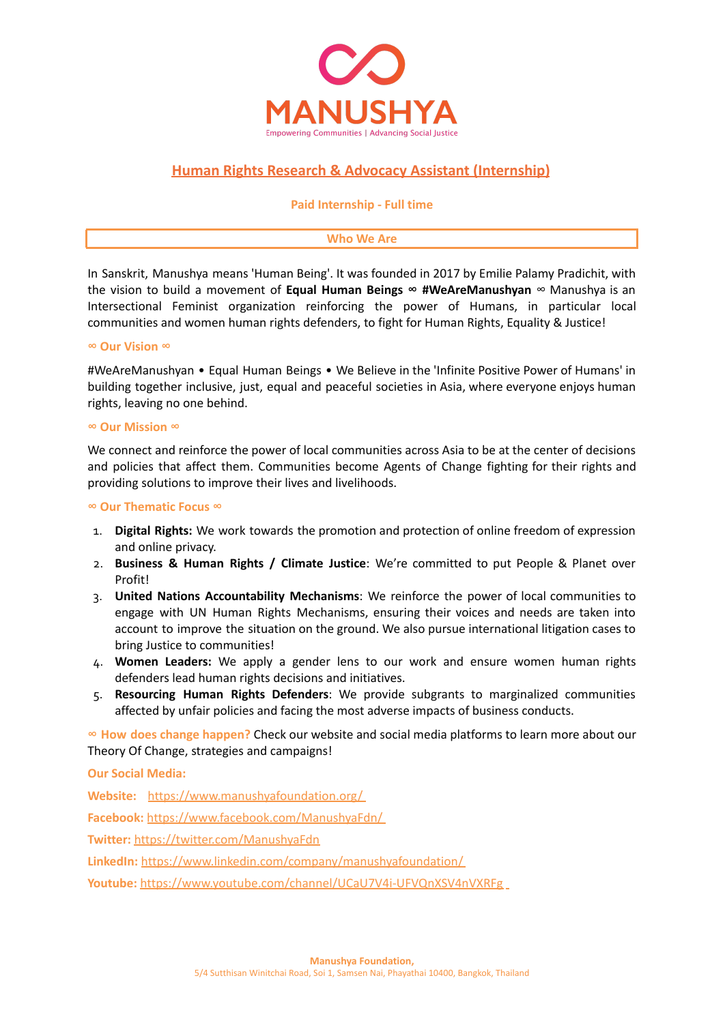

# **Human Rights Research & Advocacy Assistant (Internship)**

#### **Paid Internship - Full time**

#### **Who We Are**

In Sanskrit, Manushya means 'Human Being'. It was founded in 2017 by Emilie Palamy Pradichit, with the vision to build a movement of **Equal Human Beings ∞ #WeAreManushyan** ∞ Manushya is an Intersectional Feminist organization reinforcing the power of Humans, in particular local communities and women human rights defenders, to fight for Human Rights, Equality & Justice!

#### **∞ Our Vision ∞**

#WeAreManushyan • Equal Human Beings • We Believe in the 'Infinite Positive Power of Humans' in building together inclusive, just, equal and peaceful societies in Asia, where everyone enjoys human rights, leaving no one behind.

#### **∞ Our Mission ∞**

We connect and reinforce the power of local communities across Asia to be at the center of decisions and policies that affect them. Communities become Agents of Change fighting for their rights and providing solutions to improve their lives and livelihoods.

#### **∞ Our Thematic Focus ∞**

- 1. **Digital Rights:** We work towards the promotion and protection of online freedom of expression and online privacy.
- 2. **Business & Human Rights / Climate Justice**: We're committed to put People & Planet over Profit!
- 3. **United Nations Accountability Mechanisms**: We reinforce the power of local communities to engage with UN Human Rights Mechanisms, ensuring their voices and needs are taken into account to improve the situation on the ground. We also pursue international litigation cases to bring Justice to communities!
- 4. **Women Leaders:** We apply a gender lens to our work and ensure women human rights defenders lead human rights decisions and initiatives.
- 5. **Resourcing Human Rights Defenders**: We provide subgrants to marginalized communities affected by unfair policies and facing the most adverse impacts of business conducts.

**∞ How does change happen?** Check our website and social media platforms to learn more about our Theory Of Change, strategies and campaigns!

**Our Social Media:**

**Website:** <https://www.manushyafoundation.org/> **Facebook:** <https://www.facebook.com/ManushyaFdn/> **Twitter:** <https://twitter.com/ManushyaFdn> **LinkedIn:** <https://www.linkedin.com/company/manushyafoundation/> **Youtube:** <https://www.youtube.com/channel/UCaU7V4i-UFVQnXSV4nVXRFg>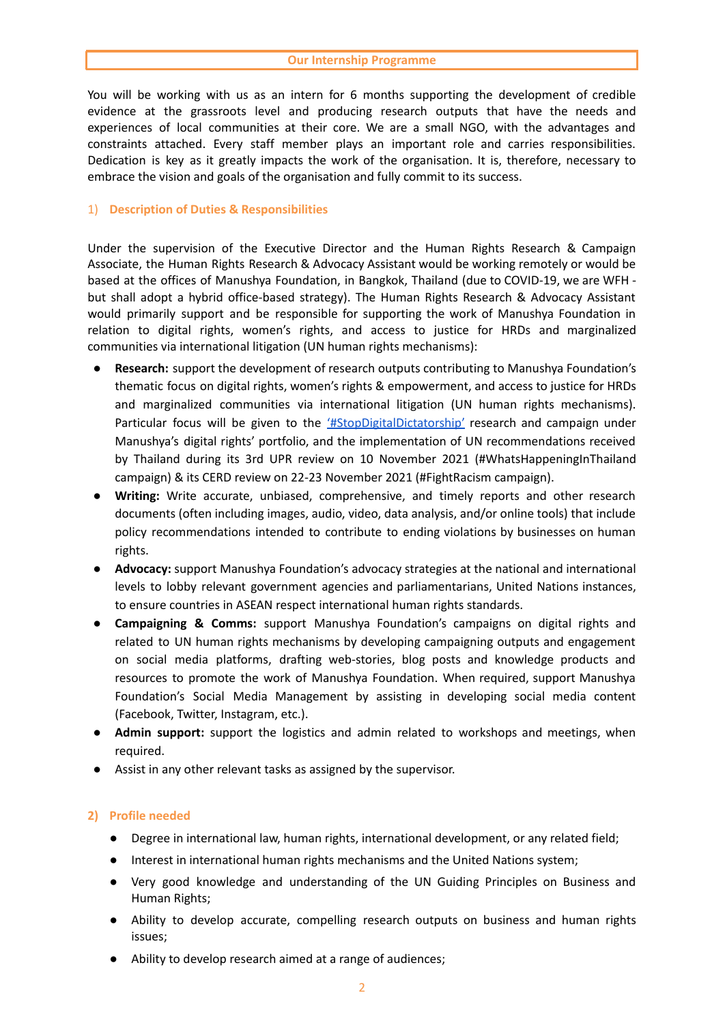You will be working with us as an intern for 6 months supporting the development of credible evidence at the grassroots level and producing research outputs that have the needs and experiences of local communities at their core. We are a small NGO, with the advantages and constraints attached. Every staff member plays an important role and carries responsibilities. Dedication is key as it greatly impacts the work of the organisation. It is, therefore, necessary to embrace the vision and goals of the organisation and fully commit to its success.

### 1) **Description of Duties & Responsibilities**

Under the supervision of the Executive Director and the Human Rights Research & Campaign Associate, the Human Rights Research & Advocacy Assistant would be working remotely or would be based at the offices of Manushya Foundation, in Bangkok, Thailand (due to COVID-19, we are WFH but shall adopt a hybrid office-based strategy). The Human Rights Research & Advocacy Assistant would primarily support and be responsible for supporting the work of Manushya Foundation in relation to digital rights, women's rights, and access to justice for HRDs and marginalized communities via international litigation (UN human rights mechanisms):

- **Research:** support the development of research outputs contributing to Manushya Foundation's thematic focus on digital rights, women's rights & empowerment, and access to justice for HRDs and marginalized communities via international litigation (UN human rights mechanisms). Particular focus will be given to the ['#StopDigitalDictatorship'](https://www.manushyafoundation.org/stop-digital-dictatorship-campaign) research and campaign under Manushya's digital rights' portfolio, and the implementation of UN recommendations received by Thailand during its 3rd UPR review on 10 November 2021 (#WhatsHappeningInThailand campaign) & its CERD review on 22-23 November 2021 (#FightRacism campaign).
- Writing: Write accurate, unbiased, comprehensive, and timely reports and other research documents (often including images, audio, video, data analysis, and/or online tools) that include policy recommendations intended to contribute to ending violations by businesses on human rights.
- **Advocacy:** support Manushya Foundation's advocacy strategies at the national and international levels to lobby relevant government agencies and parliamentarians, United Nations instances, to ensure countries in ASEAN respect international human rights standards.
- **Campaigning & Comms:** support Manushya Foundation's campaigns on digital rights and related to UN human rights mechanisms by developing campaigning outputs and engagement on social media platforms, drafting web-stories, blog posts and knowledge products and resources to promote the work of Manushya Foundation. When required, support Manushya Foundation's Social Media Management by assisting in developing social media content (Facebook, Twitter, Instagram, etc.).
- Admin support: support the logistics and admin related to workshops and meetings, when required.
- Assist in any other relevant tasks as assigned by the supervisor.

## **2) Profile needed**

- Degree in international law, human rights, international development, or any related field;
- Interest in international human rights mechanisms and the United Nations system;
- Very good knowledge and understanding of the UN Guiding Principles on Business and Human Rights;
- Ability to develop accurate, compelling research outputs on business and human rights issues;
- Ability to develop research aimed at a range of audiences;